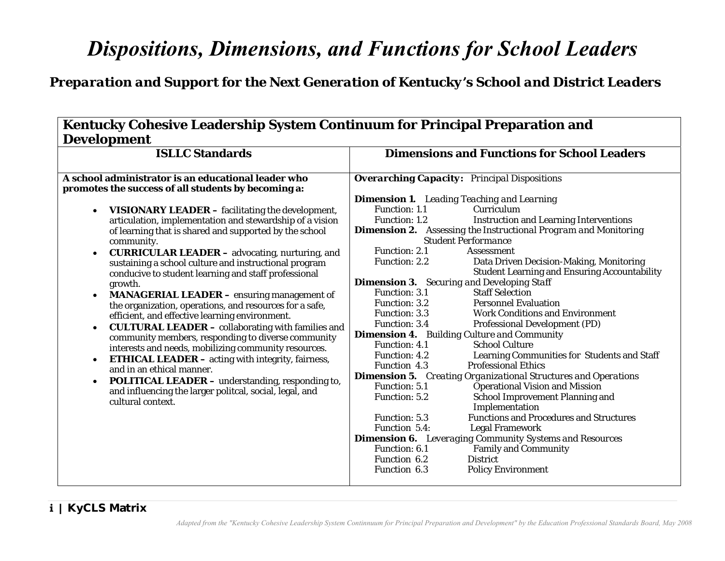# *Dispositions, Dimensions, and Functions for School Leaders*

|                    | <b>Kentucky Cohesive Leadership System Continuum for Principal Preparation and</b> |  |  |
|--------------------|------------------------------------------------------------------------------------|--|--|
| <b>Development</b> |                                                                                    |  |  |

| Kentucky Cohesive Leadership System Continuum for Principal Preparation and<br><b>Development</b>                                                                                                                                                                                                                                                                                                                                                                                                                                                                                                                                                                                                                                                                                                                                                                                                                                                                                                                    |                                                                                                                                                                                                                                                                                                                                                                                                                                                                                                                                                                                                                                                                                                                                                                                                                                                                                                                                                                                                                                                                                                                                                                                                                                                                                                                                                                                                |  |  |  |  |
|----------------------------------------------------------------------------------------------------------------------------------------------------------------------------------------------------------------------------------------------------------------------------------------------------------------------------------------------------------------------------------------------------------------------------------------------------------------------------------------------------------------------------------------------------------------------------------------------------------------------------------------------------------------------------------------------------------------------------------------------------------------------------------------------------------------------------------------------------------------------------------------------------------------------------------------------------------------------------------------------------------------------|------------------------------------------------------------------------------------------------------------------------------------------------------------------------------------------------------------------------------------------------------------------------------------------------------------------------------------------------------------------------------------------------------------------------------------------------------------------------------------------------------------------------------------------------------------------------------------------------------------------------------------------------------------------------------------------------------------------------------------------------------------------------------------------------------------------------------------------------------------------------------------------------------------------------------------------------------------------------------------------------------------------------------------------------------------------------------------------------------------------------------------------------------------------------------------------------------------------------------------------------------------------------------------------------------------------------------------------------------------------------------------------------|--|--|--|--|
| <b>ISLLC Standards</b>                                                                                                                                                                                                                                                                                                                                                                                                                                                                                                                                                                                                                                                                                                                                                                                                                                                                                                                                                                                               | <b>Dimensions and Functions for School Leaders</b>                                                                                                                                                                                                                                                                                                                                                                                                                                                                                                                                                                                                                                                                                                                                                                                                                                                                                                                                                                                                                                                                                                                                                                                                                                                                                                                                             |  |  |  |  |
| A school administrator is an educational leader who<br>promotes the success of all students by becoming a:                                                                                                                                                                                                                                                                                                                                                                                                                                                                                                                                                                                                                                                                                                                                                                                                                                                                                                           | <b>Overarching Capacity:</b> Principal Dispositions<br><b>Dimension 1.</b> Leading Teaching and Learning                                                                                                                                                                                                                                                                                                                                                                                                                                                                                                                                                                                                                                                                                                                                                                                                                                                                                                                                                                                                                                                                                                                                                                                                                                                                                       |  |  |  |  |
| <b>VISIONARY LEADER</b> – facilitating the development,<br>$\bullet$<br>articulation, implementation and stewardship of a vision<br>of learning that is shared and supported by the school<br>community.<br><b>CURRICULAR LEADER</b> - advocating, nurturing, and<br>$\bullet$<br>sustaining a school culture and instructional program<br>conducive to student learning and staff professional<br>growth.<br><b>MANAGERIAL LEADER</b> – ensuring management of<br>the organization, operations, and resources for a safe,<br>efficient, and effective learning environment.<br><b>CULTURAL LEADER - collaborating with families and</b><br>$\bullet$<br>community members, responding to diverse community<br>interests and needs, mobilizing community resources.<br><b>ETHICAL LEADER</b> – acting with integrity, fairness,<br>$\bullet$<br>and in an ethical manner.<br><b>POLITICAL LEADER - understanding, responding to,</b><br>and influencing the larger politcal, social, legal, and<br>cultural context. | <b>Function: 1.1</b><br>Curriculum<br>Function: 1.2<br><b>Instruction and Learning Interventions</b><br><b>Dimension 2.</b> Assessing the Instructional Program and Monitoring<br><b>Student Performance</b><br>Function: 2.1<br><b>Assessment</b><br>Function: 2.2<br>Data Driven Decision-Making, Monitoring<br><b>Student Learning and Ensuring Accountability</b><br><b>Dimension 3.</b> Securing and Developing Staff<br><b>Staff Selection</b><br>Function: 3.1<br>Function: 3.2<br><b>Personnel Evaluation</b><br><b>Work Conditions and Environment</b><br>Function: 3.3<br>Function: 3.4<br><b>Professional Development (PD)</b><br><b>Dimension 4.</b> Building Culture and Community<br>Function: 4.1<br><b>School Culture</b><br>Learning Communities for Students and Staff<br>Function: 4.2<br><b>Professional Ethics</b><br>Function 4.3<br><b>Dimension 5.</b> Creating Organizational Structures and Operations<br><b>Operational Vision and Mission</b><br><b>Function: 5.1</b><br>School Improvement Planning and<br>Function: 5.2<br>Implementation<br><b>Functions and Procedures and Structures</b><br>Function: 5.3<br>Function 5.4:<br><b>Legal Framework</b><br><b>Dimension 6.</b> Leveraging Community Systems and Resources<br><b>Family and Community</b><br><b>Function: 6.1</b><br>Function 6.2<br><b>District</b><br>Function 6.3<br><b>Policy Environment</b> |  |  |  |  |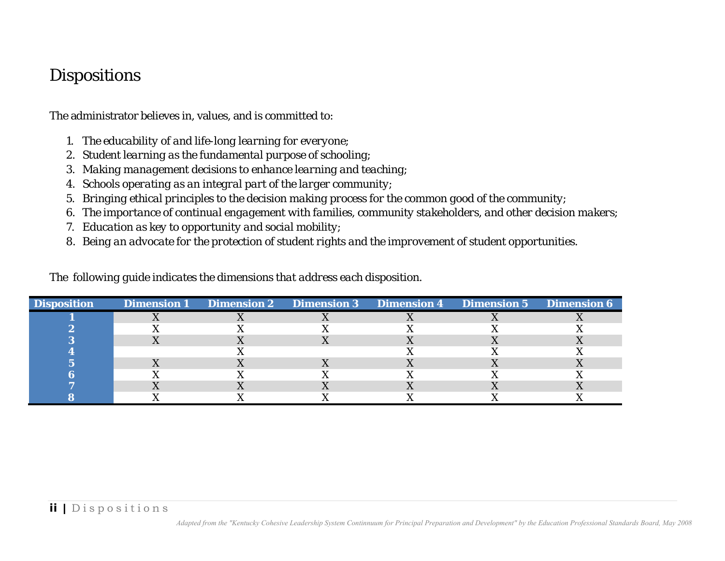- 
- 
- 
- 
- 
- 
- 
- 

| 1.                                                                                                                               | The educability of and life-long learning for everyone;                                                  |                                |                    |                    |                                 |                           |
|----------------------------------------------------------------------------------------------------------------------------------|----------------------------------------------------------------------------------------------------------|--------------------------------|--------------------|--------------------|---------------------------------|---------------------------|
| 2.                                                                                                                               |                                                                                                          |                                |                    |                    |                                 |                           |
| Student learning as the fundamental purpose of schooling;<br>Making management decisions to enhance learning and teaching;<br>3. |                                                                                                          |                                |                    |                    |                                 |                           |
| 4.                                                                                                                               | Schools operating as an integral part of the larger community;                                           |                                |                    |                    |                                 |                           |
| 5.                                                                                                                               | Bringing ethical principles to the decision making process for the common good of the community;         |                                |                    |                    |                                 |                           |
| 6.                                                                                                                               | The importance of continual engagement with families, community stakeholders, and other decision makers; |                                |                    |                    |                                 |                           |
|                                                                                                                                  | Education as key to opportunity and social mobility;                                                     |                                |                    |                    |                                 |                           |
|                                                                                                                                  | Being an advocate for the protection of student rights and the improvement of student opportunities.     |                                |                    |                    |                                 |                           |
|                                                                                                                                  |                                                                                                          |                                |                    |                    |                                 |                           |
|                                                                                                                                  |                                                                                                          |                                |                    |                    |                                 |                           |
|                                                                                                                                  |                                                                                                          |                                |                    |                    |                                 |                           |
|                                                                                                                                  | The following guide indicates the dimensions that address each disposition.                              |                                |                    |                    |                                 |                           |
|                                                                                                                                  |                                                                                                          |                                |                    |                    |                                 |                           |
|                                                                                                                                  | <b>Dimension 1</b>                                                                                       | <b>Dimension 2</b>             | <b>Dimension 3</b> | <b>Dimension 4</b> | <b>Dimension 5</b>              | <b>Dimension 6</b>        |
| $\mathbf{1}$                                                                                                                     | $\mathbf X$                                                                                              | X                              | $\mathbf X$        | X                  | X                               | $\boldsymbol{\mathrm{X}}$ |
|                                                                                                                                  | X                                                                                                        | X                              | X<br>$\mathbf X$   | X                  | X                               | X                         |
| $\frac{2}{3}$<br>$\overline{\mathbf{4}}$                                                                                         | $\mathbf X$                                                                                              | $\boldsymbol{\mathrm{X}}$<br>X |                    | X<br>X             | $\mathbf X$<br>$\boldsymbol{X}$ | $\mathbf X$<br>X          |
| $\overline{\mathbf{5}}$                                                                                                          | X                                                                                                        | $\mathbf X$                    | X                  | $\mathbf X$        | $\mathbf X$                     | $\mathbf X$               |
| <b>Disposition</b><br>$\bf{6}$                                                                                                   | $\mathbf X$                                                                                              | X                              | $\mathbf X$        | $\mathbf X$        | $\boldsymbol{\mathrm{X}}$       | $\mathbf X$               |
| $\overline{7}$<br>8                                                                                                              | $\mathbf X$<br>X                                                                                         | $\mathbf X$<br>X               | $\mathbf X$<br>X   | $\mathbf X$<br>X   | $\mathbf X$<br>X                | X<br>X                    |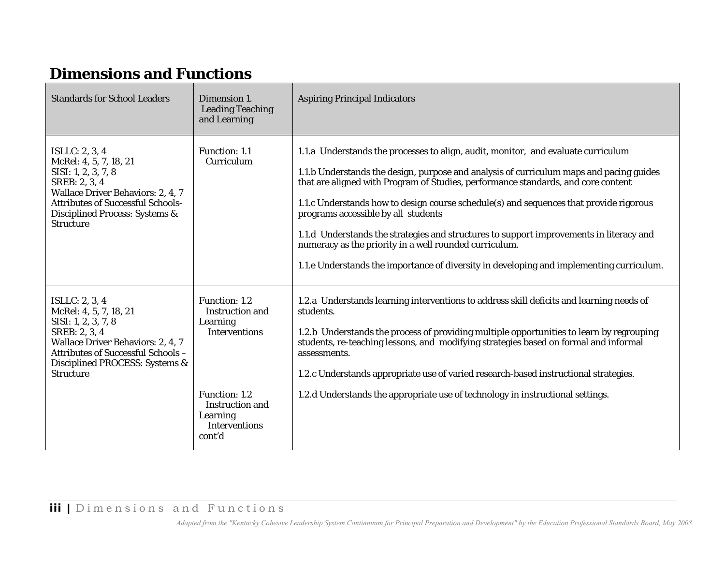|                                                                                                                                                                             | <b>Dimensions and Functions</b>                                                                                                                                                                                                                                                                                                                                                                                                                                                                                                                                                                                                                     |  |  |  |
|-----------------------------------------------------------------------------------------------------------------------------------------------------------------------------|-----------------------------------------------------------------------------------------------------------------------------------------------------------------------------------------------------------------------------------------------------------------------------------------------------------------------------------------------------------------------------------------------------------------------------------------------------------------------------------------------------------------------------------------------------------------------------------------------------------------------------------------------------|--|--|--|
| Dimension 1.<br><b>Leading Teaching</b><br>and Learning                                                                                                                     | <b>Aspiring Principal Indicators</b>                                                                                                                                                                                                                                                                                                                                                                                                                                                                                                                                                                                                                |  |  |  |
| Function: 1.1<br>Curriculum                                                                                                                                                 | 1.1.a Understands the processes to align, audit, monitor, and evaluate curriculum<br>1.1.b Understands the design, purpose and analysis of curriculum maps and pacing guides<br>that are aligned with Program of Studies, performance standards, and core content<br>1.1.c Understands how to design course schedule(s) and sequences that provide rigorous<br>programs accessible by all students<br>1.1.d Understands the strategies and structures to support improvements in literacy and<br>numeracy as the priority in a well rounded curriculum.<br>1.1.e Understands the importance of diversity in developing and implementing curriculum. |  |  |  |
| <b>Function: 1.2</b><br><b>Instruction and</b><br>Learning<br><b>Interventions</b><br><b>Function: 1.2</b><br><b>Instruction and</b><br>Learning<br>Interventions<br>cont'd | 1.2.a Understands learning interventions to address skill deficits and learning needs of<br>students.<br>1.2.b Understands the process of providing multiple opportunities to learn by regrouping<br>students, re-teaching lessons, and modifying strategies based on formal and informal<br>assessments.<br>1.2.c Understands appropriate use of varied research-based instructional strategies.<br>1.2.d Understands the appropriate use of technology in instructional settings.                                                                                                                                                                 |  |  |  |
|                                                                                                                                                                             |                                                                                                                                                                                                                                                                                                                                                                                                                                                                                                                                                                                                                                                     |  |  |  |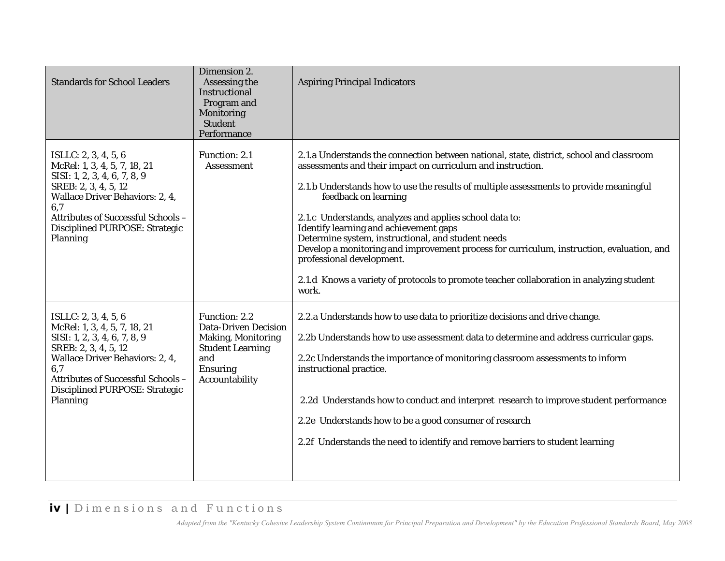| <b>Standards for School Leaders</b>                                                                                                                                                                                                                 | Dimension 2.<br>Assessing the<br><b>Instructional</b><br>Program and<br>Monitoring<br><b>Student</b><br>Performance                              | <b>Aspiring Principal Indicators</b>                                                                                                                                                                                                                                                                                                                                                                                                                                                                                                                                                                                                                                |
|-----------------------------------------------------------------------------------------------------------------------------------------------------------------------------------------------------------------------------------------------------|--------------------------------------------------------------------------------------------------------------------------------------------------|---------------------------------------------------------------------------------------------------------------------------------------------------------------------------------------------------------------------------------------------------------------------------------------------------------------------------------------------------------------------------------------------------------------------------------------------------------------------------------------------------------------------------------------------------------------------------------------------------------------------------------------------------------------------|
| ISLLC: $2, 3, 4, 5, 6$<br>McRel: 1, 3, 4, 5, 7, 18, 21<br>SISI: 1, 2, 3, 4, 6, 7, 8, 9<br>SREB: 2, 3, 4, 5, 12<br><b>Wallace Driver Behaviors: 2, 4,</b><br>6,7<br>Attributes of Successful Schools -<br>Disciplined PURPOSE: Strategic<br>Planning | Function: 2.1<br><b>Assessment</b>                                                                                                               | 2.1.a Understands the connection between national, state, district, school and classroom<br>assessments and their impact on curriculum and instruction.<br>2.1.b Understands how to use the results of multiple assessments to provide meaningful<br>feedback on learning<br>2.1.c Understands, analyzes and applies school data to:<br>Identify learning and achievement gaps<br>Determine system, instructional, and student needs<br>Develop a monitoring and improvement process for curriculum, instruction, evaluation, and<br>professional development.<br>2.1.d Knows a variety of protocols to promote teacher collaboration in analyzing student<br>work. |
| ISLLC: 2, 3, 4, 5, 6<br>McRel: 1, 3, 4, 5, 7, 18, 21<br>SISI: 1, 2, 3, 4, 6, 7, 8, 9<br>SREB: 2, 3, 4, 5, 12<br><b>Wallace Driver Behaviors: 2, 4,</b><br>6,7<br>Attributes of Successful Schools -<br>Disciplined PURPOSE: Strategic<br>Planning   | Function: 2.2<br><b>Data-Driven Decision</b><br><b>Making, Monitoring</b><br><b>Student Learning</b><br>and<br><b>Ensuring</b><br>Accountability | 2.2.a Understands how to use data to prioritize decisions and drive change.<br>2.2b Understands how to use assessment data to determine and address curricular gaps.<br>2.2c Understands the importance of monitoring classroom assessments to inform<br>instructional practice.<br>2.2d Understands how to conduct and interpret research to improve student performance<br>2.2e Understands how to be a good consumer of research<br>2.2f Understands the need to identify and remove barriers to student learning                                                                                                                                                |
| iv   Dimensions and Functions                                                                                                                                                                                                                       |                                                                                                                                                  | Adapted from the "Kentucky Cohesive Leadership System Continnuum for Principal Preparation and Development" by the Education Professional Standards Board, May 2008                                                                                                                                                                                                                                                                                                                                                                                                                                                                                                 |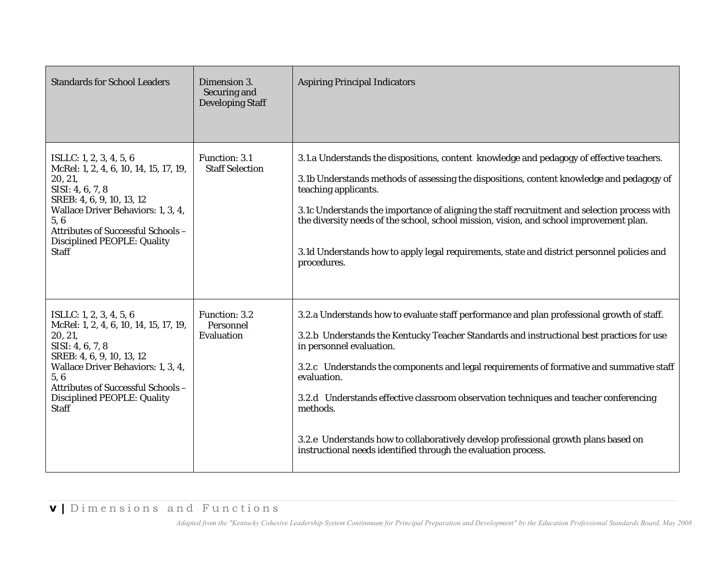| <b>Standards for School Leaders</b>                                                                                                                                                                                                                             | Dimension 3.<br>Securing and<br><b>Developing Staff</b> | <b>Aspiring Principal Indicators</b>                                                                                                                                                                                                                                                                                                                                                                                                                                                                                                                                                         |
|-----------------------------------------------------------------------------------------------------------------------------------------------------------------------------------------------------------------------------------------------------------------|---------------------------------------------------------|----------------------------------------------------------------------------------------------------------------------------------------------------------------------------------------------------------------------------------------------------------------------------------------------------------------------------------------------------------------------------------------------------------------------------------------------------------------------------------------------------------------------------------------------------------------------------------------------|
| ISLLC: 1, 2, 3, 4, 5, 6<br>McRel: 1, 2, 4, 6, 10, 14, 15, 17, 19,<br>20, 21,<br>SISI: 4, 6, 7, 8<br>SREB: 4, 6, 9, 10, 13, 12<br>Wallace Driver Behaviors: 1, 3, 4,<br>5,6<br>Attributes of Successful Schools -<br>Disciplined PEOPLE: Quality<br><b>Staff</b> | Function: 3.1<br><b>Staff Selection</b>                 | 3.1.a Understands the dispositions, content knowledge and pedagogy of effective teachers.<br>3.1b Understands methods of assessing the dispositions, content knowledge and pedagogy of<br>teaching applicants.<br>3.1c Understands the importance of aligning the staff recruitment and selection process with<br>the diversity needs of the school, school mission, vision, and school improvement plan.<br>3.1d Understands how to apply legal requirements, state and district personnel policies and<br>procedures.                                                                      |
| ISLLC: 1, 2, 3, 4, 5, 6<br>McRel: 1, 2, 4, 6, 10, 14, 15, 17, 19,<br>20, 21,<br>SISI: 4, 6, 7, 8<br>SREB: 4, 6, 9, 10, 13, 12<br>Wallace Driver Behaviors: 1, 3, 4,<br>5,6<br>Attributes of Successful Schools -<br><b>Disciplined PEOPLE: Quality</b><br>Staff | Function: 3.2<br>Personnel<br>Evaluation                | 3.2.a Understands how to evaluate staff performance and plan professional growth of staff.<br>3.2.b Understands the Kentucky Teacher Standards and instructional best practices for use<br>in personnel evaluation.<br>3.2.c Understands the components and legal requirements of formative and summative staff<br>evaluation.<br>3.2.d Understands effective classroom observation techniques and teacher conferencing<br>methods.<br>3.2.e Understands how to collaboratively develop professional growth plans based on<br>instructional needs identified through the evaluation process. |
| v   Dimensions and Functions                                                                                                                                                                                                                                    |                                                         | Adapted from the "Kentucky Cohesive Leadership System Continnuum for Principal Preparation and Development" by the Education Professional Standards Board, May 2008                                                                                                                                                                                                                                                                                                                                                                                                                          |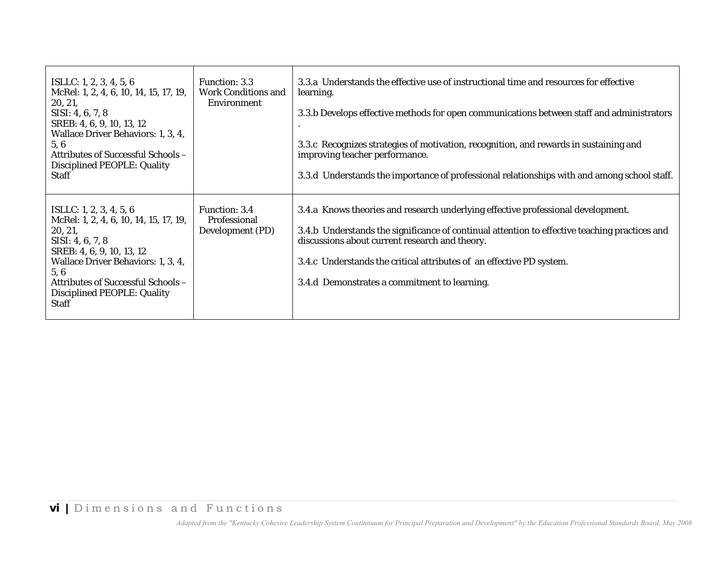| ISLLC: 1, 2, 3, 4, 5, 6<br>McRel: 1, 2, 4, 6, 10, 14, 15, 17, 19,<br>20, 21,<br>SISI: 4, 6, 7, 8<br>SREB: 4, 6, 9, 10, 13, 12<br>Wallace Driver Behaviors: 1, 3, 4,<br>5,6<br>Attributes of Successful Schools -<br><b>Disciplined PEOPLE: Quality</b><br><b>Staff</b> | Function: 3.3<br><b>Work Conditions and</b><br><b>Environment</b> | 3.3.a Understands the effective use of instructional time and resources for effective<br>learning.<br>3.3.b Develops effective methods for open communications between staff and administrators<br>3.3.c Recognizes strategies of motivation, recognition, and rewards in sustaining and<br>improving teacher performance.<br>3.3.d Understands the importance of professional relationships with and among school staff. |
|------------------------------------------------------------------------------------------------------------------------------------------------------------------------------------------------------------------------------------------------------------------------|-------------------------------------------------------------------|---------------------------------------------------------------------------------------------------------------------------------------------------------------------------------------------------------------------------------------------------------------------------------------------------------------------------------------------------------------------------------------------------------------------------|
| ISLLC: 1, 2, 3, 4, 5, 6<br>McRel: 1, 2, 4, 6, 10, 14, 15, 17, 19,<br>20, 21,<br>SISI: 4, 6, 7, 8<br>SREB: 4, 6, 9, 10, 13, 12<br>Wallace Driver Behaviors: 1, 3, 4,<br>5,6<br>Attributes of Successful Schools -<br><b>Disciplined PEOPLE: Quality</b><br><b>Staff</b> | Function: 3.4<br>Professional<br>Development (PD)                 | 3.4.a Knows theories and research underlying effective professional development.<br>3.4.b Understands the significance of continual attention to effective teaching practices and<br>discussions about current research and theory.<br>3.4.c Understands the critical attributes of an effective PD system.<br>3.4.d Demonstrates a commitment to learning.                                                               |
| <b>vi</b>   Dimensions and Functions                                                                                                                                                                                                                                   |                                                                   |                                                                                                                                                                                                                                                                                                                                                                                                                           |
|                                                                                                                                                                                                                                                                        |                                                                   | Adapted from the "Kentucky Cohesive Leadership System Continnuum for Principal Preparation and Development" by the Education Professional Standards Board, May 2008                                                                                                                                                                                                                                                       |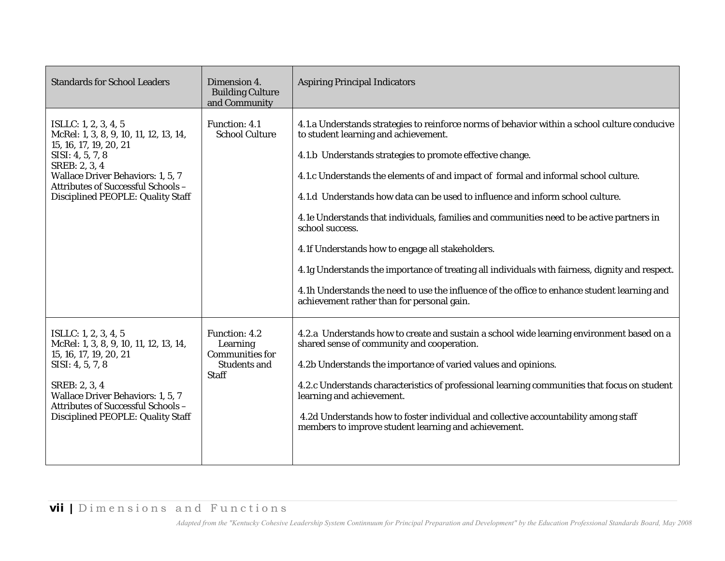| <b>Standards for School Leaders</b>                                                                                                                                                                                                                         | Dimension 4.<br><b>Building Culture</b><br>and Community                                          | <b>Aspiring Principal Indicators</b>                                                                                                                                                                                                                                                                                                                                                                                                                                                                                                                                                                                                                                                                                                                                                             |
|-------------------------------------------------------------------------------------------------------------------------------------------------------------------------------------------------------------------------------------------------------------|---------------------------------------------------------------------------------------------------|--------------------------------------------------------------------------------------------------------------------------------------------------------------------------------------------------------------------------------------------------------------------------------------------------------------------------------------------------------------------------------------------------------------------------------------------------------------------------------------------------------------------------------------------------------------------------------------------------------------------------------------------------------------------------------------------------------------------------------------------------------------------------------------------------|
| ISLLC: 1, 2, 3, 4, 5<br>McRel: 1, 3, 8, 9, 10, 11, 12, 13, 14,<br>15, 16, 17, 19, 20, 21<br>SISI: 4, 5, 7, 8<br>SREB: 2, 3, 4<br><b>Wallace Driver Behaviors: 1, 5, 7</b><br><b>Attributes of Successful Schools -</b><br>Disciplined PEOPLE: Quality Staff | <b>Function: 4.1</b><br><b>School Culture</b>                                                     | 4.1.a Understands strategies to reinforce norms of behavior within a school culture conducive<br>to student learning and achievement.<br>4.1.b Understands strategies to promote effective change.<br>4.1.c Understands the elements of and impact of formal and informal school culture.<br>4.1.d Understands how data can be used to influence and inform school culture.<br>4.1e Understands that individuals, families and communities need to be active partners in<br>school success.<br>4.1f Understands how to engage all stakeholders.<br>4.1g Understands the importance of treating all individuals with fairness, dignity and respect.<br>4.1h Understands the need to use the influence of the office to enhance student learning and<br>achievement rather than for personal gain. |
| ISLLC: 1, 2, 3, 4, 5<br>McRel: 1, 3, 8, 9, 10, 11, 12, 13, 14,<br>15, 16, 17, 19, 20, 21<br>SISI: 4, 5, 7, 8<br>SREB: 2, 3, 4<br><b>Wallace Driver Behaviors: 1, 5, 7</b><br>Attributes of Successful Schools-<br><b>Disciplined PEOPLE: Quality Staff</b>  | <b>Function: 4.2</b><br>Learning<br><b>Communities for</b><br><b>Students and</b><br><b>Staff</b> | 4.2.a Understands how to create and sustain a school wide learning environment based on a<br>shared sense of community and cooperation.<br>4.2b Understands the importance of varied values and opinions.<br>4.2.c Understands characteristics of professional learning communities that focus on student<br>learning and achievement.<br>4.2d Understands how to foster individual and collective accountability among staff<br>members to improve student learning and achievement.                                                                                                                                                                                                                                                                                                            |
| <b>vii</b>   Dimensions and Functions                                                                                                                                                                                                                       |                                                                                                   | Adapted from the "Kentucky Cohesive Leadership System Continnuum for Principal Preparation and Development" by the Education Professional Standards Board, May 2008                                                                                                                                                                                                                                                                                                                                                                                                                                                                                                                                                                                                                              |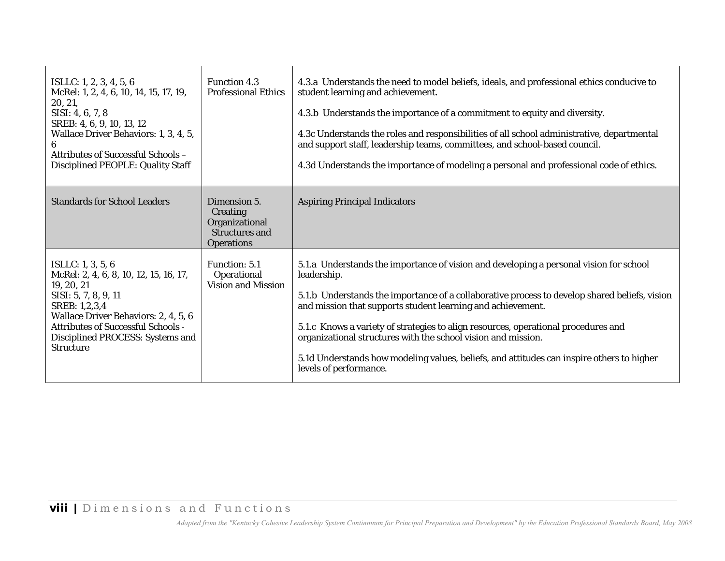| ISLLC: 1, 2, 3, 4, 5, 6<br>McRel: 1, 2, 4, 6, 10, 14, 15, 17, 19,<br>20, 21,<br>SISI: 4, 6, 7, 8<br>SREB: 4, 6, 9, 10, 13, 12<br>Wallace Driver Behaviors: 1, 3, 4, 5,<br>6<br><b>Attributes of Successful Schools -</b><br>Disciplined PEOPLE: Quality Staff     | <b>Function 4.3</b><br><b>Professional Ethics</b>                                        | 4.3.a Understands the need to model beliefs, ideals, and professional ethics conducive to<br>student learning and achievement.<br>4.3.b Understands the importance of a commitment to equity and diversity.<br>4.3c Understands the roles and responsibilities of all school administrative, departmental<br>and support staff, leadership teams, committees, and school-based council.<br>4.3d Understands the importance of modeling a personal and professional code of ethics.                                                                  |
|-------------------------------------------------------------------------------------------------------------------------------------------------------------------------------------------------------------------------------------------------------------------|------------------------------------------------------------------------------------------|-----------------------------------------------------------------------------------------------------------------------------------------------------------------------------------------------------------------------------------------------------------------------------------------------------------------------------------------------------------------------------------------------------------------------------------------------------------------------------------------------------------------------------------------------------|
| <b>Standards for School Leaders</b>                                                                                                                                                                                                                               | Dimension 5.<br>Creating<br>Organizational<br><b>Structures and</b><br><b>Operations</b> | <b>Aspiring Principal Indicators</b>                                                                                                                                                                                                                                                                                                                                                                                                                                                                                                                |
| ISLLC: $1, 3, 5, 6$<br>McRel: 2, 4, 6, 8, 10, 12, 15, 16, 17,<br>19, 20, 21<br>SISI: 5, 7, 8, 9, 11<br>SREB: 1,2,3,4<br>Wallace Driver Behaviors: 2, 4, 5, 6<br><b>Attributes of Successful Schools -</b><br>Disciplined PROCESS: Systems and<br><b>Structure</b> | Function: 5.1<br>Operational<br><b>Vision and Mission</b>                                | 5.1.a Understands the importance of vision and developing a personal vision for school<br>leadership.<br>5.1.b Understands the importance of a collaborative process to develop shared beliefs, vision<br>and mission that supports student learning and achievement.<br>5.1.c Knows a variety of strategies to align resources, operational procedures and<br>organizational structures with the school vision and mission.<br>5.1d Understands how modeling values, beliefs, and attitudes can inspire others to higher<br>levels of performance. |
|                                                                                                                                                                                                                                                                   |                                                                                          |                                                                                                                                                                                                                                                                                                                                                                                                                                                                                                                                                     |
| <b>viii</b>   Dimensions and Functions                                                                                                                                                                                                                            |                                                                                          | Adapted from the "Kentucky Cohesive Leadership System Continnuum for Principal Preparation and Development" by the Education Professional Standards Board, May 2008                                                                                                                                                                                                                                                                                                                                                                                 |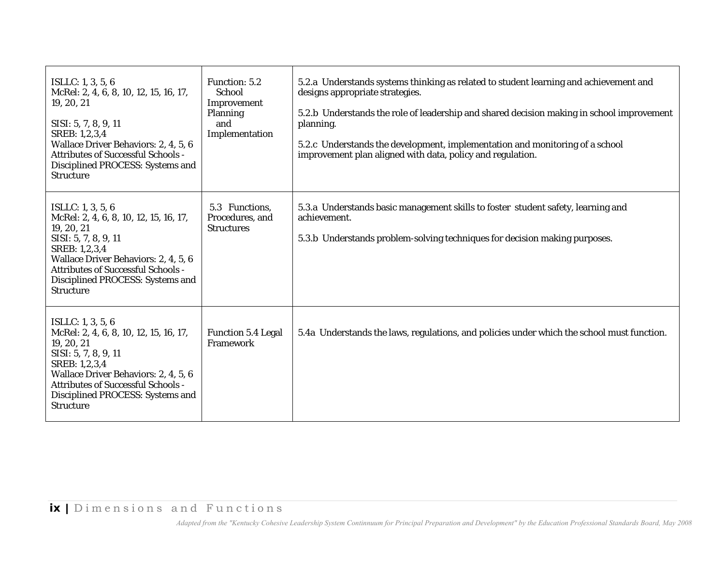| ISLLC: $1, 3, 5, 6$<br>McRel: 2, 4, 6, 8, 10, 12, 15, 16, 17,<br>19, 20, 21<br>SISI: 5, 7, 8, 9, 11<br>SREB: 1,2,3,4<br>Wallace Driver Behaviors: 2, 4, 5, 6<br><b>Attributes of Successful Schools -</b><br>Disciplined PROCESS: Systems and<br><b>Structure</b> | Function: 5.2<br>School<br>Improvement<br><b>Planning</b><br>and<br>Implementation | 5.2.a Understands systems thinking as related to student learning and achievement and<br>designs appropriate strategies.<br>5.2.b Understands the role of leadership and shared decision making in school improvement<br>planning.<br>5.2.c Understands the development, implementation and monitoring of a school<br>improvement plan aligned with data, policy and regulation. |
|-------------------------------------------------------------------------------------------------------------------------------------------------------------------------------------------------------------------------------------------------------------------|------------------------------------------------------------------------------------|----------------------------------------------------------------------------------------------------------------------------------------------------------------------------------------------------------------------------------------------------------------------------------------------------------------------------------------------------------------------------------|
| ISLLC: $1, 3, 5, 6$<br>McRel: 2, 4, 6, 8, 10, 12, 15, 16, 17,<br>19, 20, 21<br>SISI: 5, 7, 8, 9, 11<br>SREB: 1,2,3,4<br>Wallace Driver Behaviors: 2, 4, 5, 6<br><b>Attributes of Successful Schools -</b><br>Disciplined PROCESS: Systems and<br><b>Structure</b> | 5.3 Functions,<br>Procedures, and<br><b>Structures</b>                             | 5.3.a Understands basic management skills to foster student safety, learning and<br>achievement.<br>5.3.b Understands problem-solving techniques for decision making purposes.                                                                                                                                                                                                   |
| ISLLC: $1, 3, 5, 6$<br>McRel: 2, 4, 6, 8, 10, 12, 15, 16, 17,<br>19, 20, 21<br>SISI: 5, 7, 8, 9, 11<br>SREB: 1,2,3,4<br>Wallace Driver Behaviors: 2, 4, 5, 6<br><b>Attributes of Successful Schools -</b><br>Disciplined PROCESS: Systems and<br><b>Structure</b> | <b>Function 5.4 Legal</b><br>Framework                                             | 5.4a Understands the laws, regulations, and policies under which the school must function.                                                                                                                                                                                                                                                                                       |
| ix   Dimensions and Functions                                                                                                                                                                                                                                     |                                                                                    | Adapted from the "Kentucky Cohesive Leadership System Continnuum for Principal Preparation and Development" by the Education Professional Standards Board, May 2008                                                                                                                                                                                                              |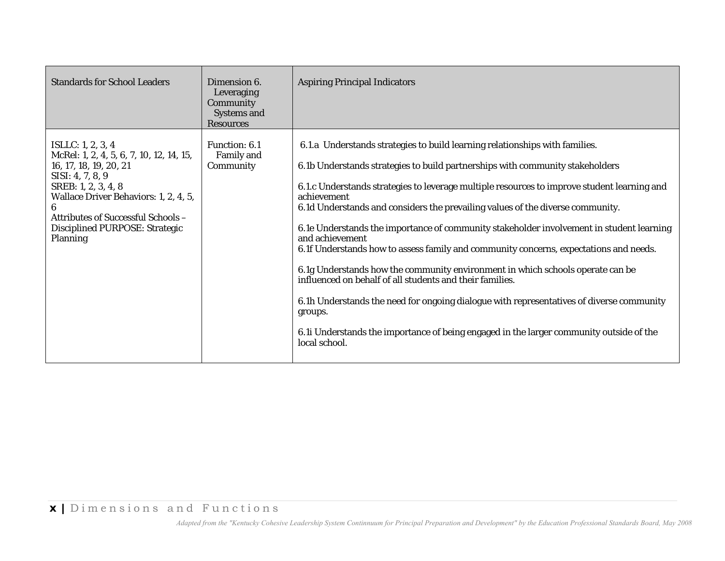| <b>Standards for School Leaders</b>                                                                                                                                                                                                                             | Dimension 6.<br>Leveraging<br>Community<br><b>Systems and</b><br><b>Resources</b> | <b>Aspiring Principal Indicators</b>                                                                                                                                                                                                                                                                                                                                                                                                                                                                                                                                                                                                                                                                                                                                                                                                                                                                                                  |
|-----------------------------------------------------------------------------------------------------------------------------------------------------------------------------------------------------------------------------------------------------------------|-----------------------------------------------------------------------------------|---------------------------------------------------------------------------------------------------------------------------------------------------------------------------------------------------------------------------------------------------------------------------------------------------------------------------------------------------------------------------------------------------------------------------------------------------------------------------------------------------------------------------------------------------------------------------------------------------------------------------------------------------------------------------------------------------------------------------------------------------------------------------------------------------------------------------------------------------------------------------------------------------------------------------------------|
| ISLLC: 1, 2, 3, 4<br>McRel: 1, 2, 4, 5, 6, 7, 10, 12, 14, 15,<br>16, 17, 18, 19, 20, 21<br>SISI: 4, 7, 8, 9<br>SREB: 1, 2, 3, 4, 8<br>Wallace Driver Behaviors: 1, 2, 4, 5,<br>Attributes of Successful Schools -<br>Disciplined PURPOSE: Strategic<br>Planning | Function: 6.1<br>Family and<br>Community                                          | 6.1.a Understands strategies to build learning relationships with families.<br>6.1b Understands strategies to build partnerships with community stakeholders<br>6.1.c Understands strategies to leverage multiple resources to improve student learning and<br>achievement<br>6.1d Understands and considers the prevailing values of the diverse community.<br>6.1e Understands the importance of community stakeholder involvement in student learning<br>and achievement<br>6.1f Understands how to assess family and community concerns, expectations and needs.<br>6.1g Understands how the community environment in which schools operate can be<br>influenced on behalf of all students and their families.<br>6.1h Understands the need for ongoing dialogue with representatives of diverse community<br>groups.<br>6.1i Understands the importance of being engaged in the larger community outside of the<br>local school. |
| x   Dimensions and Functions                                                                                                                                                                                                                                    |                                                                                   | Adapted from the "Kentucky Cohesive Leadership System Continnuum for Principal Preparation and Development" by the Education Professional Standards Board, May 2008                                                                                                                                                                                                                                                                                                                                                                                                                                                                                                                                                                                                                                                                                                                                                                   |